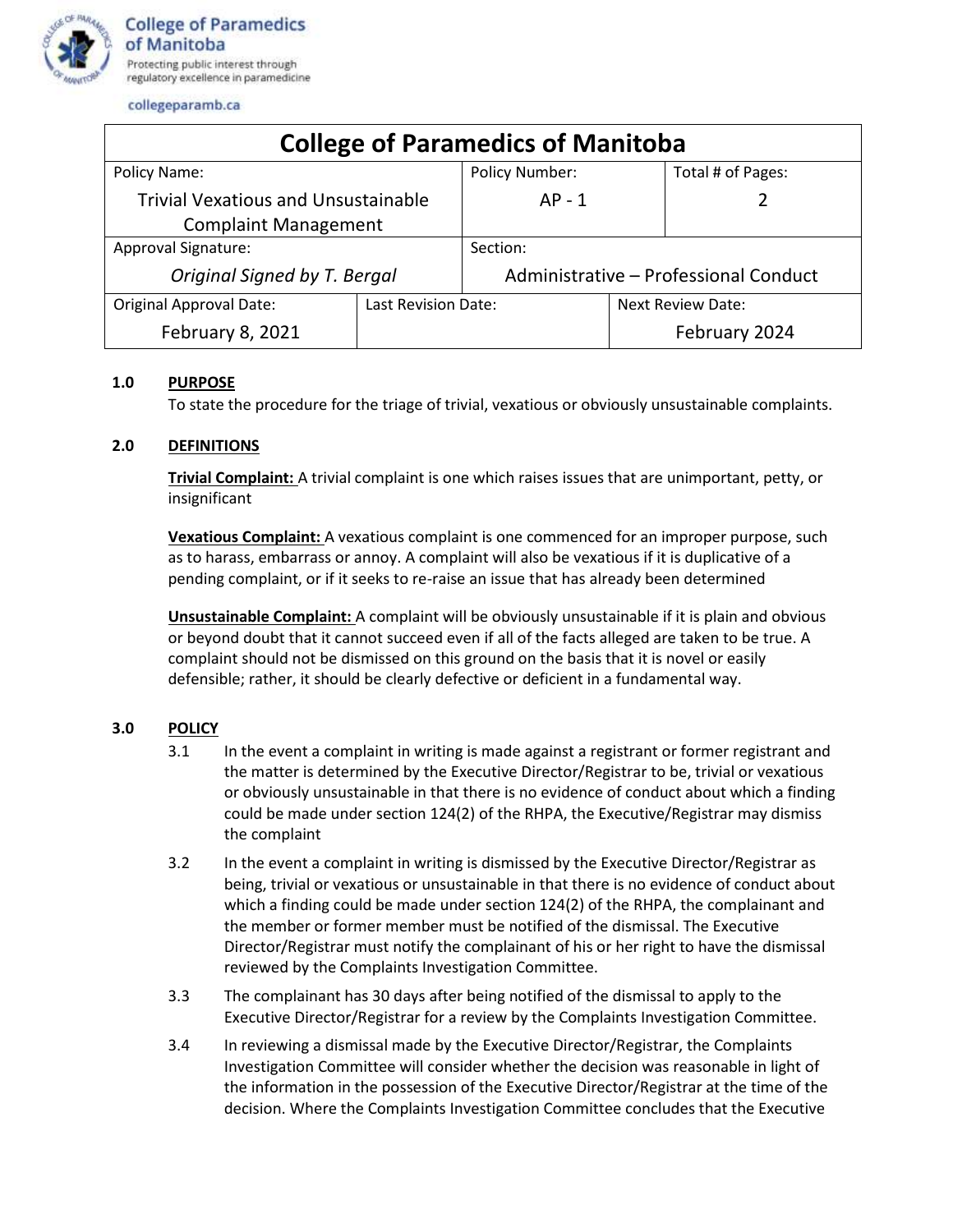

collegeparamb.ca

| <b>College of Paramedics of Manitoba</b>   |                     |                                       |                   |                   |
|--------------------------------------------|---------------------|---------------------------------------|-------------------|-------------------|
| Policy Name:                               |                     | <b>Policy Number:</b>                 |                   | Total # of Pages: |
| <b>Trivial Vexatious and Unsustainable</b> |                     | $AP - 1$                              |                   |                   |
| <b>Complaint Management</b>                |                     |                                       |                   |                   |
| Approval Signature:                        |                     | Section:                              |                   |                   |
| Original Signed by T. Bergal               |                     | Administrative - Professional Conduct |                   |                   |
| <b>Original Approval Date:</b>             | Last Revision Date: |                                       | Next Review Date: |                   |
| February 8, 2021                           |                     |                                       |                   | February 2024     |

## **1.0 PURPOSE**

To state the procedure for the triage of trivial, vexatious or obviously unsustainable complaints.

## **2.0 DEFINITIONS**

**Trivial Complaint:** A trivial complaint is one which raises issues that are unimportant, petty, or insignificant

**Vexatious Complaint:** A vexatious complaint is one commenced for an improper purpose, such as to harass, embarrass or annoy. A complaint will also be vexatious if it is duplicative of a pending complaint, or if it seeks to re-raise an issue that has already been determined

**Unsustainable Complaint:** A complaint will be obviously unsustainable if it is plain and obvious or beyond doubt that it cannot succeed even if all of the facts alleged are taken to be true. A complaint should not be dismissed on this ground on the basis that it is novel or easily defensible; rather, it should be clearly defective or deficient in a fundamental way.

## **3.0 POLICY**

- 3.1 In the event a complaint in writing is made against a registrant or former registrant and the matter is determined by the Executive Director/Registrar to be, trivial or vexatious or obviously unsustainable in that there is no evidence of conduct about which a finding could be made under section 124(2) of the RHPA, the Executive/Registrar may dismiss the complaint
- 3.2 In the event a complaint in writing is dismissed by the Executive Director/Registrar as being, trivial or vexatious or unsustainable in that there is no evidence of conduct about which a finding could be made under section 124(2) of the RHPA, the complainant and the member or former member must be notified of the dismissal. The Executive Director/Registrar must notify the complainant of his or her right to have the dismissal reviewed by the Complaints Investigation Committee.
- 3.3 The complainant has 30 days after being notified of the dismissal to apply to the Executive Director/Registrar for a review by the Complaints Investigation Committee.
- 3.4 In reviewing a dismissal made by the Executive Director/Registrar, the Complaints Investigation Committee will consider whether the decision was reasonable in light of the information in the possession of the Executive Director/Registrar at the time of the decision. Where the Complaints Investigation Committee concludes that the Executive